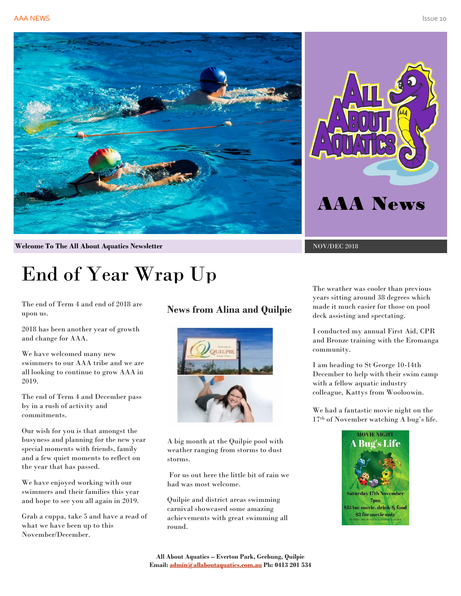



**Welcome To The All About Aquatics Newsletter** NOV/DEC 2018

# End of Year Wrap Up

The end of Term 4 and end of 2018 are upon us.

2018 has been another year of growth and change for AAA.

We have welcomed many new swimmers to our AAA tribe and we are all looking to continue to grow AAA in 2019.

The end of Term 4 and December pass by in a rush of activity and commitments.

Our wish for you is that amongst the busyness and planning for the new year special moments with friends, family and a few quiet moments to reflect on the year that has passed.

We have enjoyed working with our swimmers and their families this year and hope to see you all again in 2019.

Grab a cuppa, take 5 and have a read of what we have been up to this November/December.

## **News from Alina and Quilpie**



A big month at the Quilpie pool with weather ranging from storms to dust storms.

For us out here the little bit of rain we had was most welcome.

Quilpie and district areas swimming carnival showcased some amazing achievements with great swimming all round.

The weather was cooler than previous years sitting around 38 degrees which made it much easier for those on pool deck assisting and spectating.

I conducted my annual First Aid, CPR and Bronze training with the Eromanga community.

I am heading to St George 10-14th December to help with their swim camp with a fellow aquatic industry colleague, Kattys from Wooloowin.

We had a fantastic movie night on the 17th of November watching A bug's life.

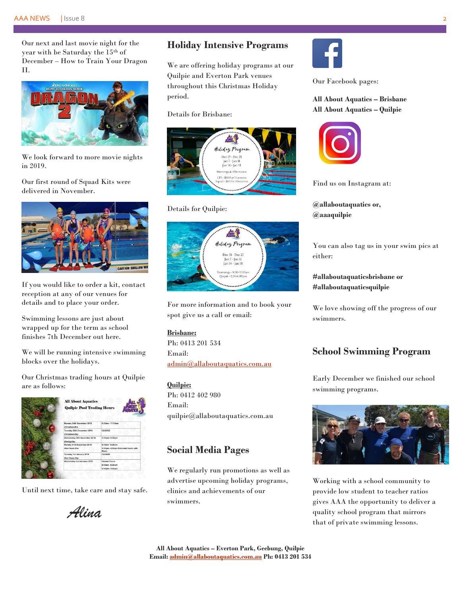#### AAA NEWS | Issue 8 2

Our next and last movie night for the year with be Saturday the 15th of December – How to Train Your Dragon II.



We look forward to more movie nights in 2019.

Our first round of Squad Kits were delivered in November.



If you would like to order a kit, contact reception at any of our venues for details and to place your order.

Swimming lessons are just about wrapped up for the term as school finishes 7th December out here.

We will be running intensive swimming blocks over the holidays.

Our Christmas trading hours at Quilpie are as follows:

| <b>All About Aquatics</b><br><b>Quilpie Pool Trading Hours</b> |                                                                        |
|----------------------------------------------------------------|------------------------------------------------------------------------|
| Monday 24th December 2018<br>Christmas Fve                     | 6:00am - 11:00am                                                       |
| Tuesday 25th December 2018<br>Christmas Day                    | <b>CLOSED</b>                                                          |
| Wednesday 26th December 2018<br><b>Boxing Day</b>              | 3:00pm - 6:30pm                                                        |
| Monday 31st December 2018<br>New Years Eve                     | 6:00am - 6:30am<br>3:00pm - 8:00pm Extended hours with<br><b>Music</b> |
| Tuesday 1st January 2019<br>New Years Day                      | <b>CLOSED</b>                                                          |
| Wednesday 2nd January 2019                                     | Normal Hours<br>6:00am - 8:30am<br>3:00pm - 5:00pm                     |
|                                                                |                                                                        |

Until next time, take care and stay safe.

*Alina*

## **Holiday Intensive Programs**

We are offering holiday programs at our Quilpie and Everton Park venues throughout this Christmas Holiday period.

Details for Brisbane:



#### Details for Quilpie:



For more information and to book your spot give us a call or email:

#### **Brisbane:**

Ph: 0413 201 534 Email: [admin@allaboutaquatics.com.au](mailto:admin@allaboutaquatics.com.au)

**Quilpie:** Ph: 0412 402 980 Email: quilpie@allaboutaquatics.com.au

### **Social Media Pages**

We regularly run promotions as well as advertise upcoming holiday programs, clinics and achievements of our swimmers.



Our Facebook pages:

#### **All About Aquatics – Brisbane All About Aquatics – Quilpie**



Find us on Instagram at:

**@allaboutaquatics or, @aaaquilpie**

You can also tag us in your swim pics at either:

**#allaboutaquaticsbrisbane or #allaboutaquaticsquilpie**

We love showing off the progress of our swimmers.

## **School Swimming Program**

Early December we finished our school swimming programs.



Working with a school community to provide low student to teacher ratios gives AAA the opportunity to deliver a quality school program that mirrors that of private swimming lessons.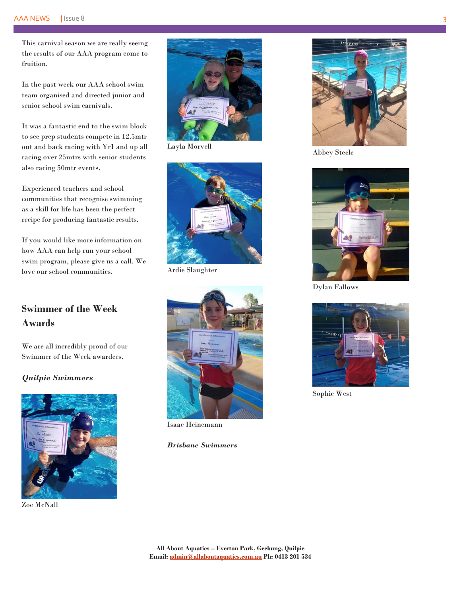This carnival season we are really seeing the results of our AAA program come to fruition.

In the past week our AAA school swim team organised and directed junior and senior school swim carnivals.

It was a fantastic end to the swim block to see prep students compete in 12.5mtr out and back racing with Yr1 and up all racing over 25mtrs with senior students also racing 50mtr events.

Experienced teachers and school communities that recognise swimming as a skill for life has been the perfect recipe for producing fantastic results.

If you would like more information on how AAA can help run your school swim program, please give us a call. We love our school communities.

## **Swimmer of the Week Awards**

We are all incredibly proud of our Swimmer of the Week awardees.

#### *Quilpie Swimmers*



Zoe McNall



Layla Morvell



Ardie Slaughter



Isaac Heinemann

#### *Brisbane Swimmers*



Abbey Steele



Dylan Fallows



Sophie West